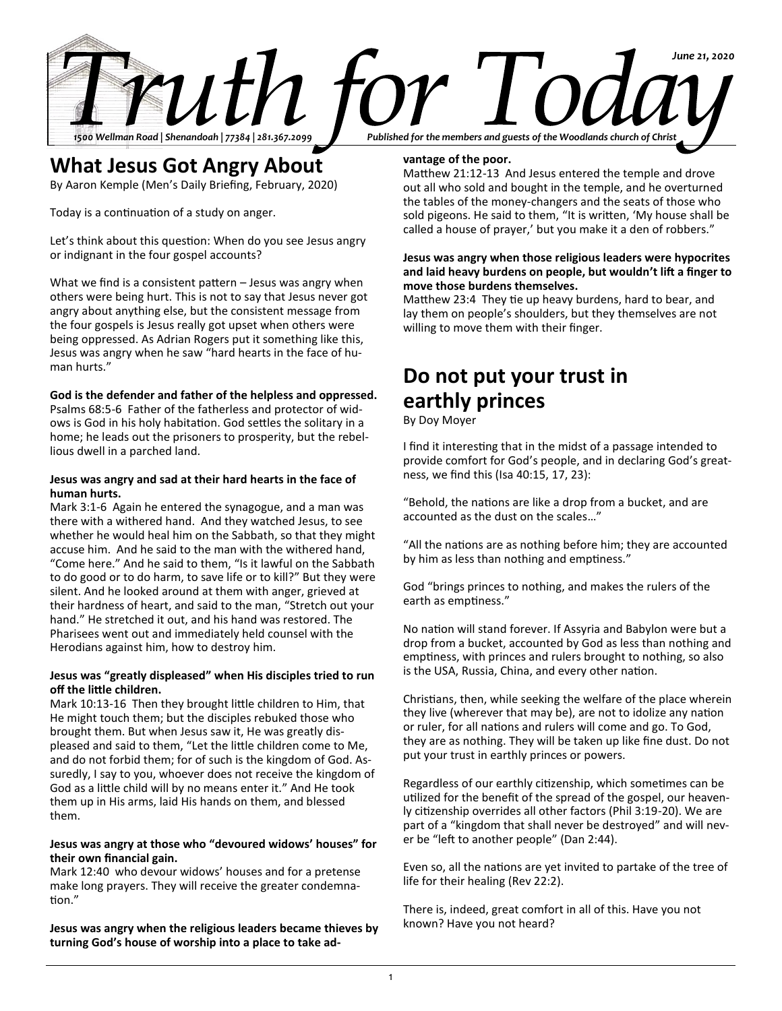

### **What Jesus Got Angry About**

By Aaron Kemple (Men's Daily Briefing, February, 2020)

Today is a continuation of a study on anger.

Let's think about this question: When do you see Jesus angry or indignant in the four gospel accounts?

What we find is a consistent pattern – Jesus was angry when others were being hurt. This is not to say that Jesus never got angry about anything else, but the consistent message from the four gospels is Jesus really got upset when others were being oppressed. As Adrian Rogers put it something like this, Jesus was angry when he saw "hard hearts in the face of human hurts."

### **God is the defender and father of the helpless and oppressed.**

Psalms 68:5-6 Father of the fatherless and protector of widows is God in his holy habitation. God settles the solitary in a home; he leads out the prisoners to prosperity, but the rebellious dwell in a parched land.

### **Jesus was angry and sad at their hard hearts in the face of human hurts.**

Mark 3:1-6 Again he entered the synagogue, and a man was there with a withered hand. And they watched Jesus, to see whether he would heal him on the Sabbath, so that they might accuse him. And he said to the man with the withered hand, "Come here." And he said to them, "Is it lawful on the Sabbath to do good or to do harm, to save life or to kill?" But they were silent. And he looked around at them with anger, grieved at their hardness of heart, and said to the man, "Stretch out your hand." He stretched it out, and his hand was restored. The Pharisees went out and immediately held counsel with the Herodians against him, how to destroy him.

### **Jesus was "greatly displeased" when His disciples tried to run off the little children.**

Mark 10:13-16 Then they brought little children to Him, that He might touch them; but the disciples rebuked those who brought them. But when Jesus saw it, He was greatly displeased and said to them, "Let the little children come to Me, and do not forbid them; for of such is the kingdom of God. Assuredly, I say to you, whoever does not receive the kingdom of God as a little child will by no means enter it." And He took them up in His arms, laid His hands on them, and blessed them.

### **Jesus was angry at those who "devoured widows' houses" for their own financial gain.**

Mark 12:40 who devour widows' houses and for a pretense make long prayers. They will receive the greater condemnation."

**Jesus was angry when the religious leaders became thieves by turning God's house of worship into a place to take ad-**

### **vantage of the poor.**

Matthew 21:12-13 And Jesus entered the temple and drove out all who sold and bought in the temple, and he overturned the tables of the money-changers and the seats of those who sold pigeons. He said to them, "It is written, 'My house shall be called a house of prayer,' but you make it a den of robbers."

### **Jesus was angry when those religious leaders were hypocrites and laid heavy burdens on people, but wouldn't lift a finger to move those burdens themselves.**

Matthew 23:4 They tie up heavy burdens, hard to bear, and lay them on people's shoulders, but they themselves are not willing to move them with their finger.

## **Do not put your trust in earthly princes**

By Doy Moyer

I find it interesting that in the midst of a passage intended to provide comfort for God's people, and in declaring God's greatness, we find this (Isa 40:15, 17, 23):

"Behold, the nations are like a drop from a bucket, and are accounted as the dust on the scales…"

"All the nations are as nothing before him; they are accounted by him as less than nothing and emptiness."

God "brings princes to nothing, and makes the rulers of the earth as emptiness."

No nation will stand forever. If Assyria and Babylon were but a drop from a bucket, accounted by God as less than nothing and emptiness, with princes and rulers brought to nothing, so also is the USA, Russia, China, and every other nation.

Christians, then, while seeking the welfare of the place wherein they live (wherever that may be), are not to idolize any nation or ruler, for all nations and rulers will come and go. To God, they are as nothing. They will be taken up like fine dust. Do not put your trust in earthly princes or powers.

Regardless of our earthly citizenship, which sometimes can be utilized for the benefit of the spread of the gospel, our heavenly citizenship overrides all other factors (Phil 3:19-20). We are part of a "kingdom that shall never be destroyed" and will never be "left to another people" (Dan 2:44).

Even so, all the nations are yet invited to partake of the tree of life for their healing (Rev 22:2).

There is, indeed, great comfort in all of this. Have you not known? Have you not heard?